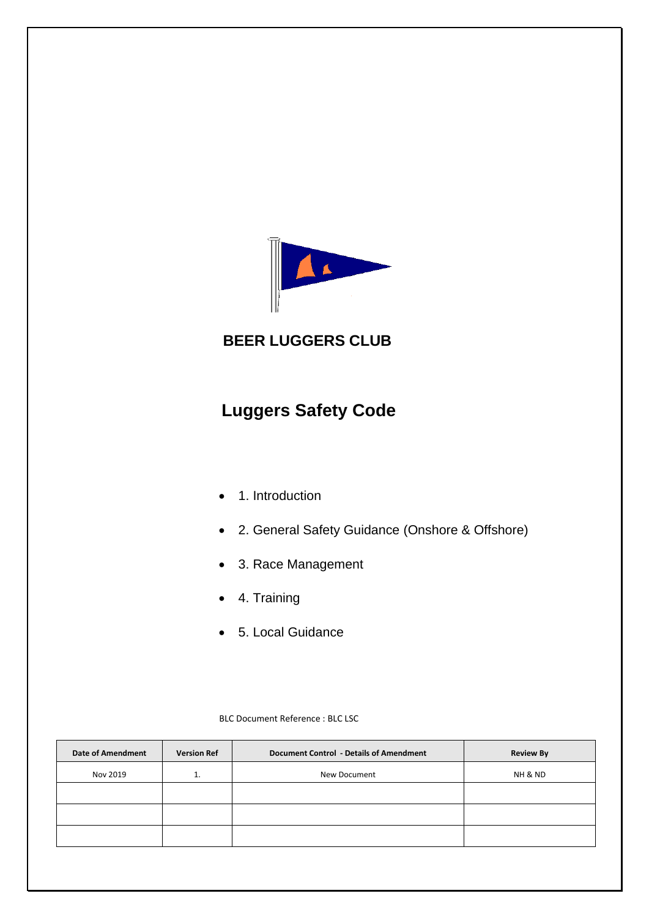

## **BEER LUGGERS CLUB**

# **Luggers Safety Code**

- 1. Introduction
- 2. General Safety Guidance (Onshore & Offshore)
- 3. Race Management
- 4. Training
- 5. Local Guidance

| BLC Document Reference: BLC LSC |
|---------------------------------|
|                                 |

| <b>Version Ref</b> | <b>Document Control - Details of Amendment</b> | <b>Review By</b> |
|--------------------|------------------------------------------------|------------------|
| ⊥.                 | New Document                                   | NH & ND          |
|                    |                                                |                  |
|                    |                                                |                  |
|                    |                                                |                  |
|                    |                                                |                  |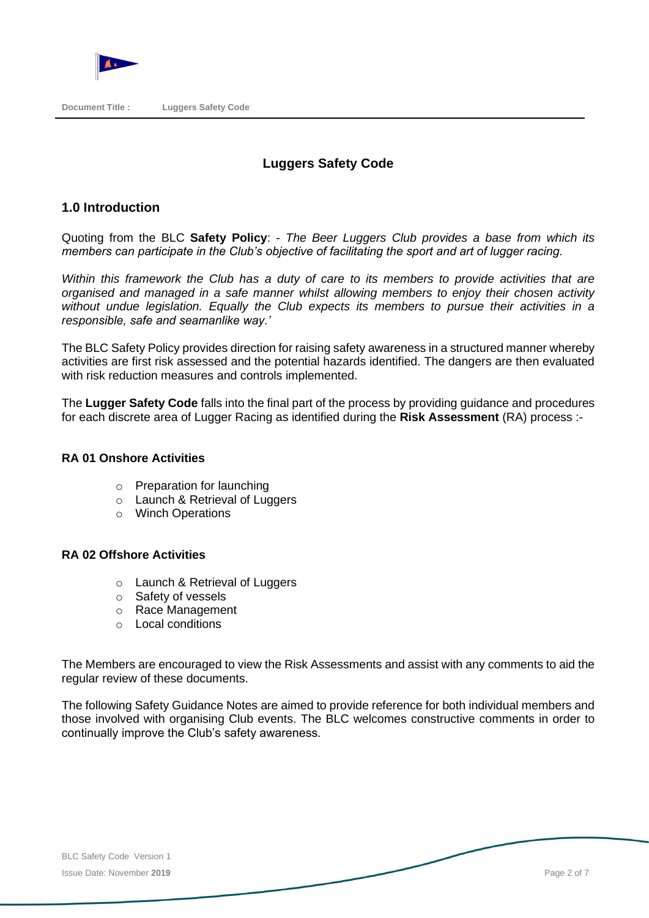

#### **Luggers Safety Code**

#### **1.0 Introduction**

Quoting from the BLC **Safety Policy**: - *The Beer Luggers Club provides a base from which its members can participate in the Club's objective of facilitating the sport and art of lugger racing.*

*Within this framework the Club has a duty of care to its members to provide activities that are organised and managed in a safe manner whilst allowing members to enjoy their chosen activity without undue legislation. Equally the Club expects its members to pursue their activities in a responsible, safe and seamanlike way.'*

The BLC Safety Policy provides direction for raising safety awareness in a structured manner whereby activities are first risk assessed and the potential hazards identified. The dangers are then evaluated with risk reduction measures and controls implemented.

The **Lugger Safety Code** falls into the final part of the process by providing guidance and procedures for each discrete area of Lugger Racing as identified during the **Risk Assessment** (RA) process :-

#### **RA 01 Onshore Activities**

- o Preparation for launching
- o Launch & Retrieval of Luggers
- o Winch Operations

#### **RA 02 Offshore Activities**

- o Launch & Retrieval of Luggers
- o Safety of vessels
- o Race Management
- o Local conditions

The Members are encouraged to view the Risk Assessments and assist with any comments to aid the regular review of these documents.

The following Safety Guidance Notes are aimed to provide reference for both individual members and those involved with organising Club events. The BLC welcomes constructive comments in order to continually improve the Club's safety awareness.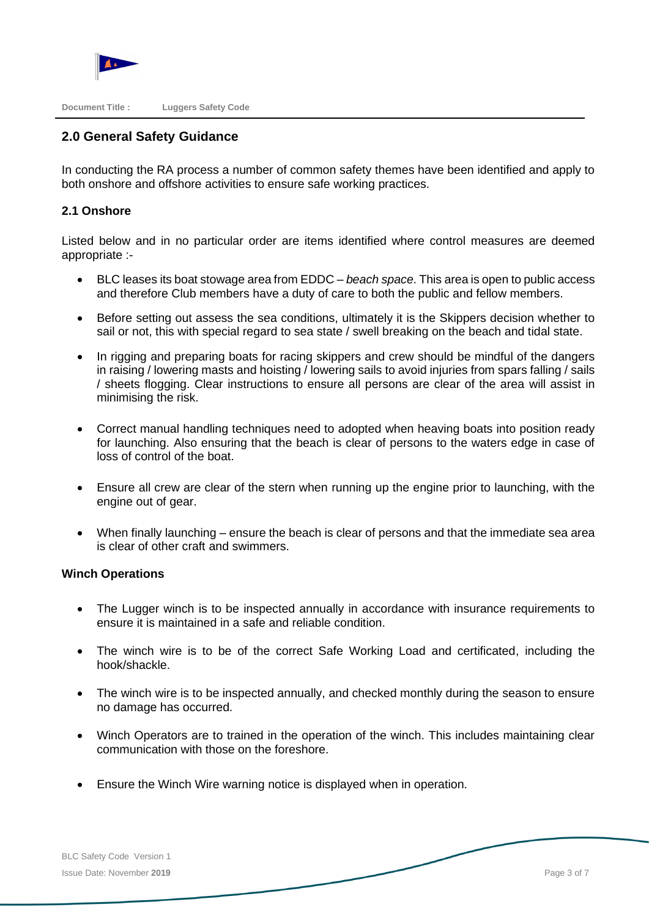**Document Title : Luggers Safety Code**

### **2.0 General Safety Guidance**

In conducting the RA process a number of common safety themes have been identified and apply to both onshore and offshore activities to ensure safe working practices.

#### **2.1 Onshore**

Listed below and in no particular order are items identified where control measures are deemed appropriate :-

- BLC leases its boat stowage area from EDDC *– beach space*. This area is open to public access and therefore Club members have a duty of care to both the public and fellow members.
- Before setting out assess the sea conditions, ultimately it is the Skippers decision whether to sail or not, this with special regard to sea state / swell breaking on the beach and tidal state.
- In rigging and preparing boats for racing skippers and crew should be mindful of the dangers in raising / lowering masts and hoisting / lowering sails to avoid injuries from spars falling / sails / sheets flogging. Clear instructions to ensure all persons are clear of the area will assist in minimising the risk.
- Correct manual handling techniques need to adopted when heaving boats into position ready for launching. Also ensuring that the beach is clear of persons to the waters edge in case of loss of control of the boat.
- Ensure all crew are clear of the stern when running up the engine prior to launching, with the engine out of gear.
- When finally launching ensure the beach is clear of persons and that the immediate sea area is clear of other craft and swimmers.

#### **Winch Operations**

- The Lugger winch is to be inspected annually in accordance with insurance requirements to ensure it is maintained in a safe and reliable condition.
- The winch wire is to be of the correct Safe Working Load and certificated, including the hook/shackle.
- The winch wire is to be inspected annually, and checked monthly during the season to ensure no damage has occurred.
- Winch Operators are to trained in the operation of the winch. This includes maintaining clear communication with those on the foreshore.
- Ensure the Winch Wire warning notice is displayed when in operation.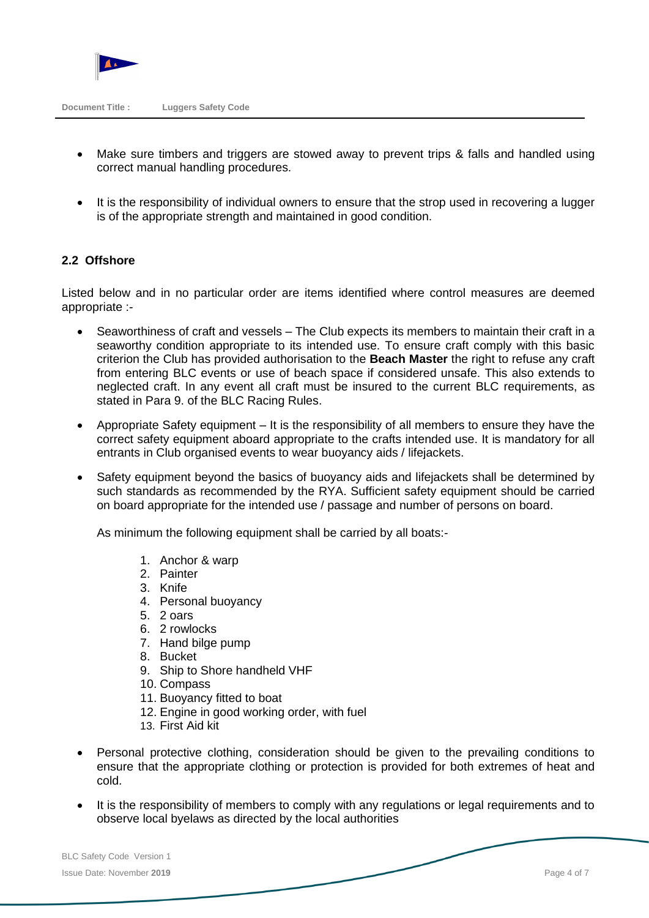

- Make sure timbers and triggers are stowed away to prevent trips & falls and handled using correct manual handling procedures.
- It is the responsibility of individual owners to ensure that the strop used in recovering a lugger is of the appropriate strength and maintained in good condition.

#### **2.2 Offshore**

Listed below and in no particular order are items identified where control measures are deemed appropriate :-

- Seaworthiness of craft and vessels The Club expects its members to maintain their craft in a seaworthy condition appropriate to its intended use. To ensure craft comply with this basic criterion the Club has provided authorisation to the **Beach Master** the right to refuse any craft from entering BLC events or use of beach space if considered unsafe. This also extends to neglected craft. In any event all craft must be insured to the current BLC requirements, as stated in Para 9. of the BLC Racing Rules.
- Appropriate Safety equipment It is the responsibility of all members to ensure they have the correct safety equipment aboard appropriate to the crafts intended use. It is mandatory for all entrants in Club organised events to wear buoyancy aids / lifejackets.
- Safety equipment beyond the basics of buoyancy aids and lifejackets shall be determined by such standards as recommended by the RYA. Sufficient safety equipment should be carried on board appropriate for the intended use / passage and number of persons on board.

As minimum the following equipment shall be carried by all boats:-

- 1. Anchor & warp
- 2. Painter
- 3. Knife
- 4. Personal buoyancy
- 5. 2 oars
- 6. 2 rowlocks
- 7. Hand bilge pump
- 8. Bucket
- 9. Ship to Shore handheld VHF
- 10. Compass
- 11. Buoyancy fitted to boat
- 12. Engine in good working order, with fuel
- 13. First Aid kit
- Personal protective clothing, consideration should be given to the prevailing conditions to ensure that the appropriate clothing or protection is provided for both extremes of heat and cold.
- It is the responsibility of members to comply with any regulations or legal requirements and to observe local byelaws as directed by the local authorities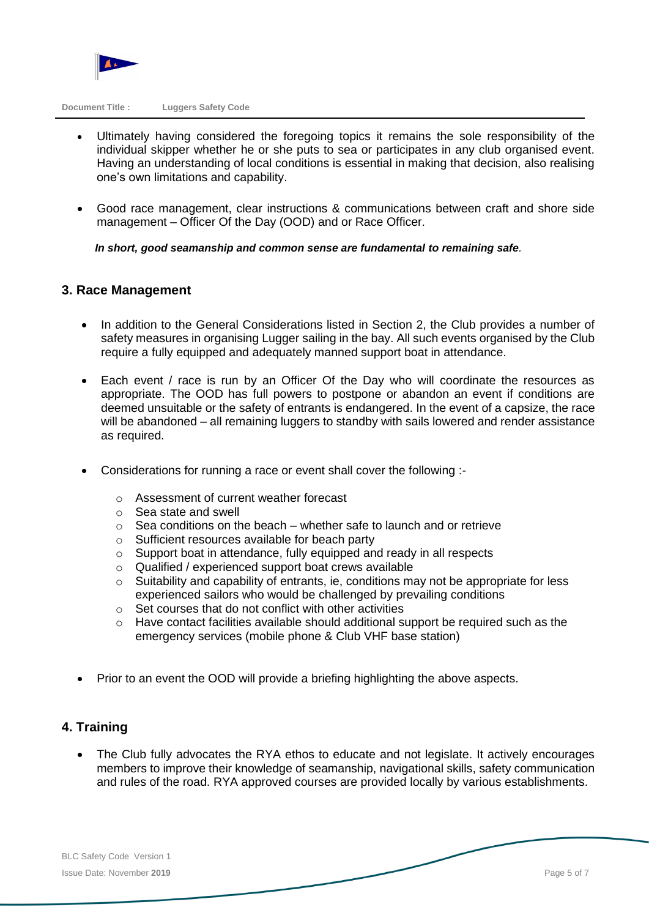

**Document Title : Luggers Safety Code**

- Ultimately having considered the foregoing topics it remains the sole responsibility of the individual skipper whether he or she puts to sea or participates in any club organised event. Having an understanding of local conditions is essential in making that decision, also realising one's own limitations and capability.
- Good race management, clear instructions & communications between craft and shore side management – Officer Of the Day (OOD) and or Race Officer.

 *In short, good seamanship and common sense are fundamental to remaining safe.* 

#### **3. Race Management**

- In addition to the General Considerations listed in Section 2, the Club provides a number of safety measures in organising Lugger sailing in the bay. All such events organised by the Club require a fully equipped and adequately manned support boat in attendance.
- Each event / race is run by an Officer Of the Day who will coordinate the resources as appropriate. The OOD has full powers to postpone or abandon an event if conditions are deemed unsuitable or the safety of entrants is endangered. In the event of a capsize, the race will be abandoned – all remaining luggers to standby with sails lowered and render assistance as required.
- Considerations for running a race or event shall cover the following :
	- o Assessment of current weather forecast
	- o Sea state and swell
	- $\circ$  Sea conditions on the beach whether safe to launch and or retrieve
	- o Sufficient resources available for beach party
	- o Support boat in attendance, fully equipped and ready in all respects
	- o Qualified / experienced support boat crews available
	- $\circ$  Suitability and capability of entrants, ie, conditions may not be appropriate for less experienced sailors who would be challenged by prevailing conditions
	- $\circ$  Set courses that do not conflict with other activities
	- o Have contact facilities available should additional support be required such as the emergency services (mobile phone & Club VHF base station)
- Prior to an event the OOD will provide a briefing highlighting the above aspects.

#### **4. Training**

• The Club fully advocates the RYA ethos to educate and not legislate. It actively encourages members to improve their knowledge of seamanship, navigational skills, safety communication and rules of the road. RYA approved courses are provided locally by various establishments.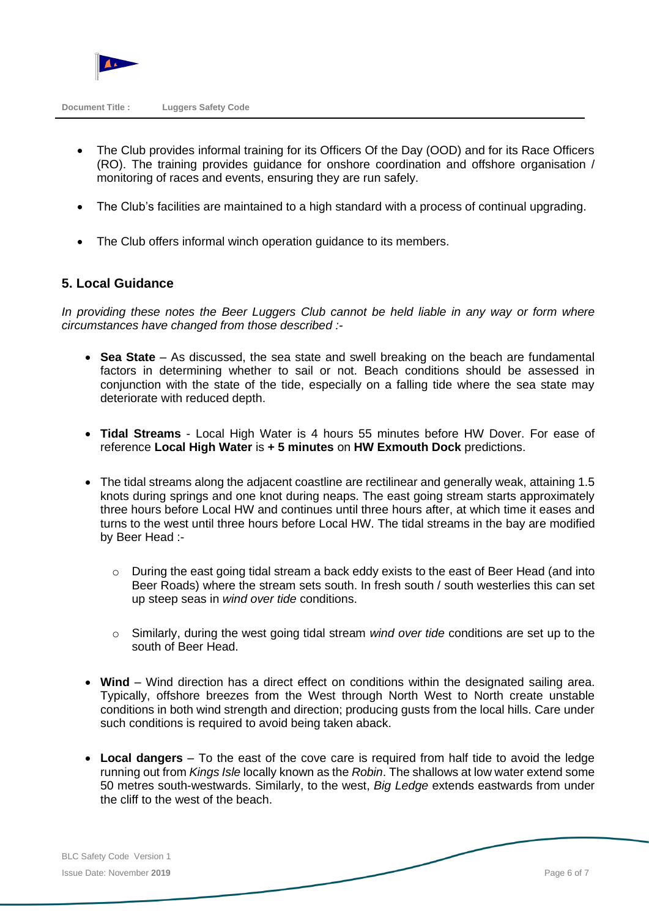

- The Club provides informal training for its Officers Of the Day (OOD) and for its Race Officers (RO). The training provides guidance for onshore coordination and offshore organisation / monitoring of races and events, ensuring they are run safely.
- The Club's facilities are maintained to a high standard with a process of continual upgrading.
- The Club offers informal winch operation guidance to its members.

#### **5. Local Guidance**

*In providing these notes the Beer Luggers Club cannot be held liable in any way or form where circumstances have changed from those described :-*

- **Sea State** As discussed, the sea state and swell breaking on the beach are fundamental factors in determining whether to sail or not. Beach conditions should be assessed in conjunction with the state of the tide, especially on a falling tide where the sea state may deteriorate with reduced depth.
- **Tidal Streams** Local High Water is 4 hours 55 minutes before HW Dover. For ease of reference **Local High Water** is **+ 5 minutes** on **HW Exmouth Dock** predictions.
- The tidal streams along the adjacent coastline are rectilinear and generally weak, attaining 1.5 knots during springs and one knot during neaps. The east going stream starts approximately three hours before Local HW and continues until three hours after, at which time it eases and turns to the west until three hours before Local HW. The tidal streams in the bay are modified by Beer Head :-
	- $\circ$  During the east going tidal stream a back eddy exists to the east of Beer Head (and into Beer Roads) where the stream sets south. In fresh south / south westerlies this can set up steep seas in *wind over tide* conditions.
	- o Similarly, during the west going tidal stream *wind over tide* conditions are set up to the south of Beer Head.
- **Wind**  Wind direction has a direct effect on conditions within the designated sailing area. Typically, offshore breezes from the West through North West to North create unstable conditions in both wind strength and direction; producing gusts from the local hills. Care under such conditions is required to avoid being taken aback.
- **Local dangers**  To the east of the cove care is required from half tide to avoid the ledge running out from *Kings Isle* locally known as the *Robin*. The shallows at low water extend some 50 metres south-westwards. Similarly, to the west, *Big Ledge* extends eastwards from under the cliff to the west of the beach.